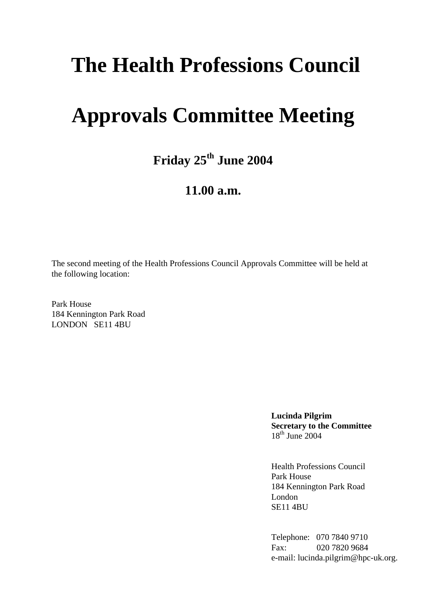# **The Health Professions Council**

# **Approvals Committee Meeting**

**Friday 25th June 2004**

### **11.00 a.m.**

The second meeting of the Health Professions Council Approvals Committee will be held at the following location:

Park House 184 Kennington Park Road LONDON SE11 4BU

> **Lucinda Pilgrim Secretary to the Committee**  $18<sup>th</sup>$  June 2004

Health Professions Council Park House 184 Kennington Park Road London SE11 4BU

Telephone: 070 7840 9710 Fax: 020 7820 9684 e-mail: lucinda.pilgrim@hpc-uk.org.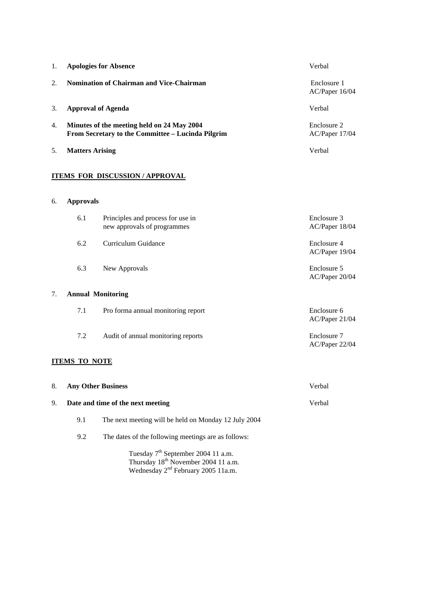| 1. | <b>Apologies for Absence</b>                                                                    |                                                                  | Verbal                        |
|----|-------------------------------------------------------------------------------------------------|------------------------------------------------------------------|-------------------------------|
| 2. | <b>Nomination of Chairman and Vice-Chairman</b>                                                 |                                                                  | Enclosure 1<br>AC/Paper 16/04 |
| 3. | <b>Approval of Agenda</b>                                                                       |                                                                  | Verbal                        |
| 4. | Minutes of the meeting held on 24 May 2004<br>From Secretary to the Committee - Lucinda Pilgrim |                                                                  | Enclosure 2<br>AC/Paper 17/04 |
| 5. | <b>Matters Arising</b>                                                                          |                                                                  | Verbal                        |
| 6. | <b>Approvals</b>                                                                                | <b>ITEMS FOR DISCUSSION / APPROVAL</b>                           |                               |
|    | 6.1                                                                                             | Principles and process for use in<br>new approvals of programmes | Enclosure 3<br>AC/Paper 18/04 |
|    | 6.2                                                                                             | Curriculum Guidance                                              | Enclosure 4<br>AC/Paper 19/04 |
|    | 6.3                                                                                             | New Approvals                                                    | Enclosure 5<br>AC/Paper 20/04 |
| 7. |                                                                                                 | <b>Annual Monitoring</b>                                         |                               |
|    | 7.1                                                                                             | Pro forma annual monitoring report                               | Enclosure 6                   |

AC/Paper 21/04

7.2 Audit of annual monitoring reports Enclosure 7 AC/Paper 22/04

### **ITEMS TO NOTE**

| 8. | <b>Any Other Business</b><br>Date and time of the next meeting |                                                      | Verbal |  |
|----|----------------------------------------------------------------|------------------------------------------------------|--------|--|
| 9. |                                                                |                                                      | Verbal |  |
|    | 9.1                                                            | The next meeting will be held on Monday 12 July 2004 |        |  |
|    | 9.2                                                            | The dates of the following meetings are as follows:  |        |  |
|    |                                                                |                                                      |        |  |

Tuesday 7<sup>th</sup> September 2004 11 a.m. Thursday 18<sup>th</sup> November 2004 11 a.m. Wednesday 2<sup>nd</sup> February 2005 11a.m.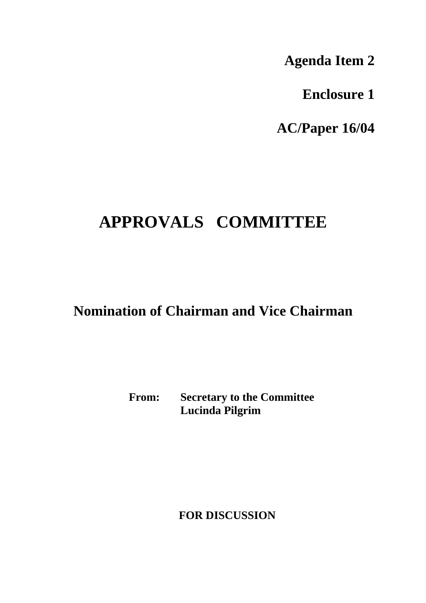**Agenda Item 2**

**Enclosure 1**

**AC/Paper 16/04**

## **APPROVALS COMMITTEE**

### **Nomination of Chairman and Vice Chairman**

**From: Secretary to the Committee Lucinda Pilgrim**

 **FOR DISCUSSION**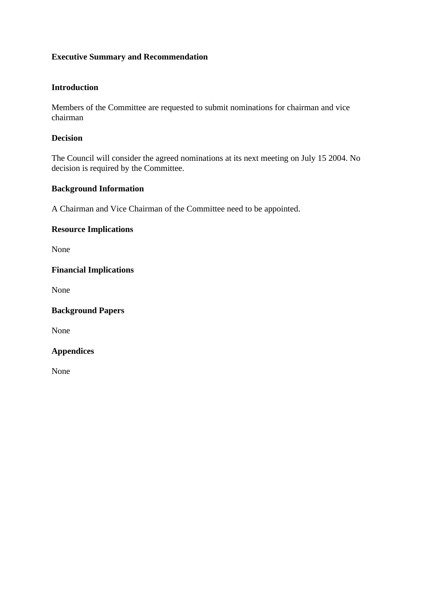### **Introduction**

Members of the Committee are requested to submit nominations for chairman and vice chairman

#### **Decision**

The Council will consider the agreed nominations at its next meeting on July 15 2004. No decision is required by the Committee.

### **Background Information**

A Chairman and Vice Chairman of the Committee need to be appointed.

### **Resource Implications**

None

### **Financial Implications**

None

### **Background Papers**

None

### **Appendices**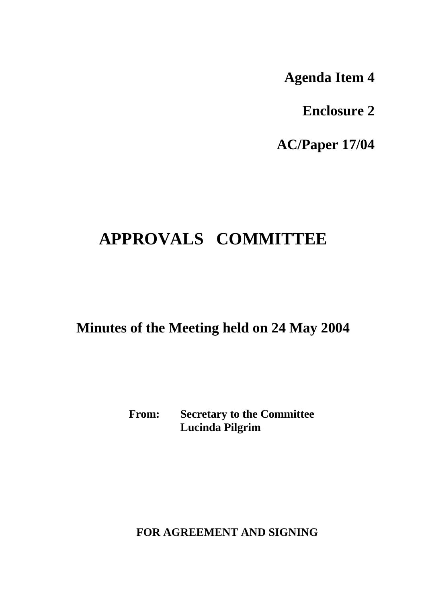**Agenda Item 4**

**Enclosure 2**

**AC/Paper 17/04**

## **APPROVALS COMMITTEE**

**Minutes of the Meeting held on 24 May 2004**

**From: Secretary to the Committee Lucinda Pilgrim**

 **FOR AGREEMENT AND SIGNING**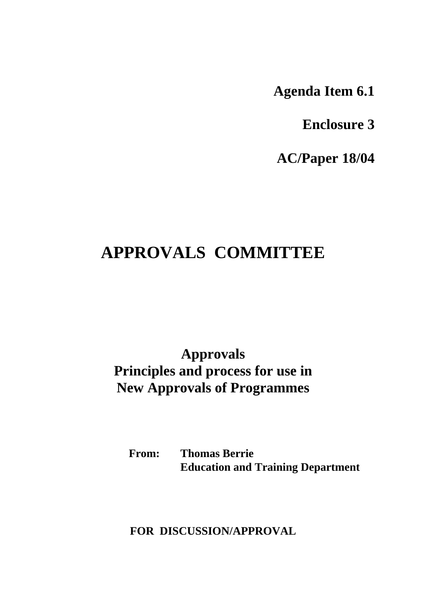**Agenda Item 6.1**

**Enclosure 3**

**AC/Paper 18/04**

### **APPROVALS COMMITTEE**

**Approvals Principles and process for use in New Approvals of Programmes**

**From: Thomas Berrie Education and Training Department**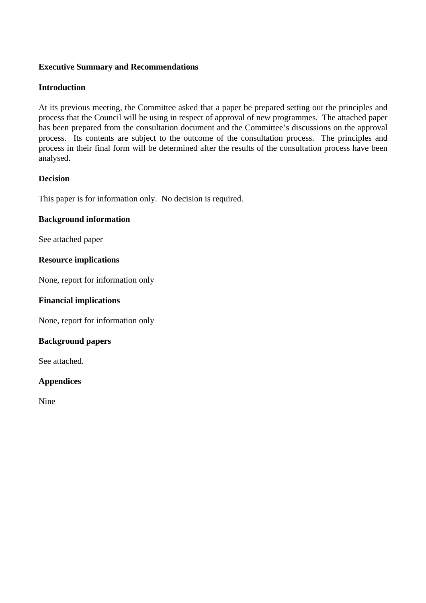### **Introduction**

At its previous meeting, the Committee asked that a paper be prepared setting out the principles and process that the Council will be using in respect of approval of new programmes. The attached paper has been prepared from the consultation document and the Committee's discussions on the approval process. Its contents are subject to the outcome of the consultation process. The principles and process in their final form will be determined after the results of the consultation process have been analysed.

### **Decision**

This paper is for information only. No decision is required.

### **Background information**

See attached paper

### **Resource implications**

None, report for information only

### **Financial implications**

None, report for information only

### **Background papers**

See attached.

### **Appendices**

Nine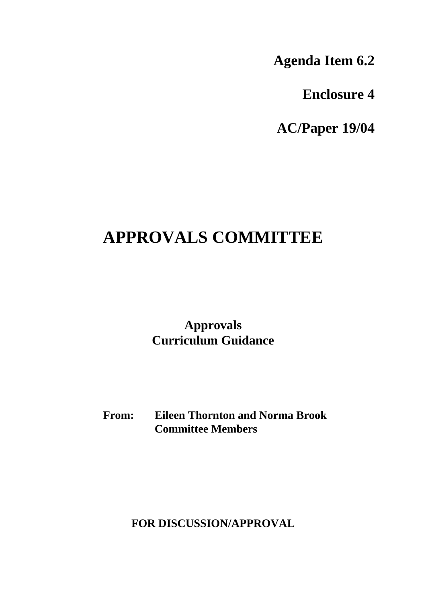**Agenda Item 6.2**

**Enclosure 4**

**AC/Paper 19/04**

## **APPROVALS COMMITTEE**

**Approvals Curriculum Guidance**

**From: Eileen Thornton and Norma Brook Committee Members**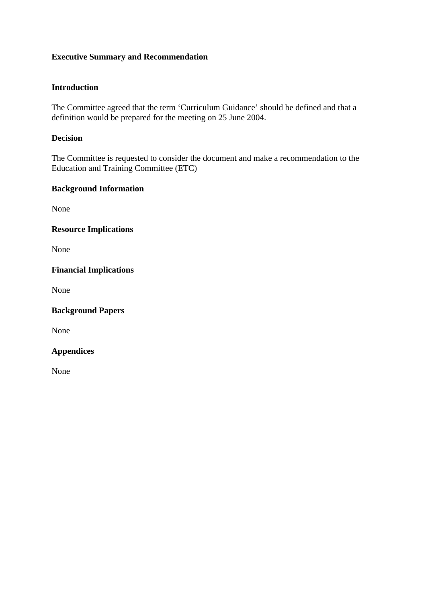### **Introduction**

The Committee agreed that the term 'Curriculum Guidance' should be defined and that a definition would be prepared for the meeting on 25 June 2004.

### **Decision**

The Committee is requested to consider the document and make a recommendation to the Education and Training Committee (ETC)

### **Background Information**

None

**Resource Implications**

None

### **Financial Implications**

None

**Background Papers**

None

### **Appendices**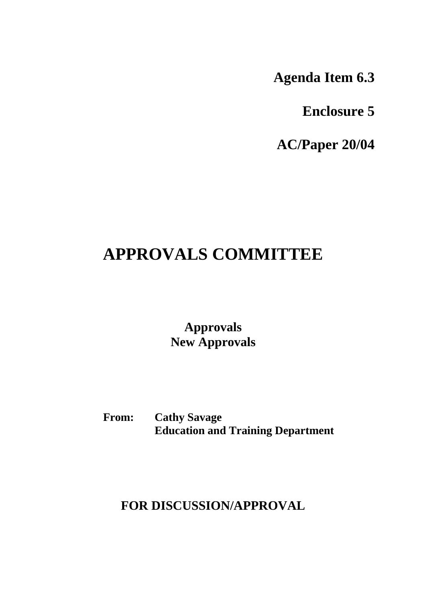**Agenda Item 6.3**

**Enclosure 5**

**AC/Paper 20/04**

## **APPROVALS COMMITTEE**

**Approvals New Approvals**

**From: Cathy Savage Education and Training Department**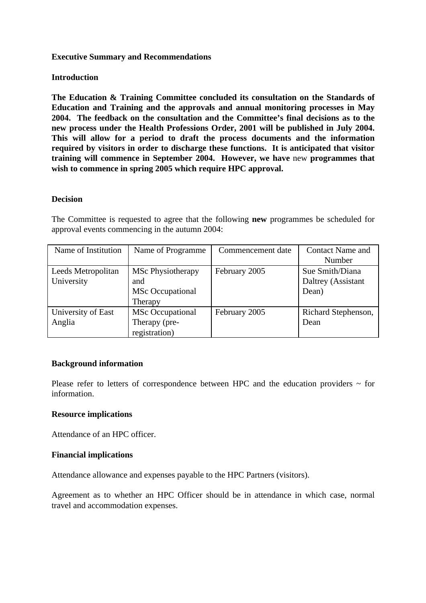### **Introduction**

**The Education & Training Committee concluded its consultation on the Standards of Education and Training and the approvals and annual monitoring processes in May 2004. The feedback on the consultation and the Committee's final decisions as to the new process under the Health Professions Order, 2001 will be published in July 2004. This will allow for a period to draft the process documents and the information required by visitors in order to discharge these functions. It is anticipated that visitor training will commence in September 2004. However, we have** new **programmes that wish to commence in spring 2005 which require HPC approval.**

#### **Decision**

The Committee is requested to agree that the following **new** programmes be scheduled for approval events commencing in the autumn 2004:

| Name of Institution | Name of Programme        | Commencement date | <b>Contact Name and</b> |
|---------------------|--------------------------|-------------------|-------------------------|
|                     |                          |                   | Number                  |
| Leeds Metropolitan  | <b>MSc Physiotherapy</b> | February 2005     | Sue Smith/Diana         |
| University          | and                      |                   | Daltrey (Assistant      |
|                     | <b>MSc</b> Occupational  |                   | Dean)                   |
|                     | Therapy                  |                   |                         |
| University of East  | <b>MSc Occupational</b>  | February 2005     | Richard Stephenson,     |
| Anglia              | Therapy (pre-            |                   | Dean                    |
|                     | registration)            |                   |                         |

#### **Background information**

Please refer to letters of correspondence between HPC and the education providers  $\sim$  for information.

#### **Resource implications**

Attendance of an HPC officer.

#### **Financial implications**

Attendance allowance and expenses payable to the HPC Partners (visitors).

Agreement as to whether an HPC Officer should be in attendance in which case, normal travel and accommodation expenses.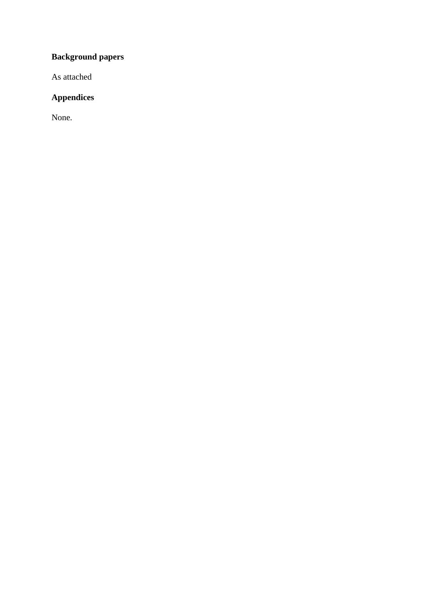### **Background papers**

As attached

### **Appendices**

None.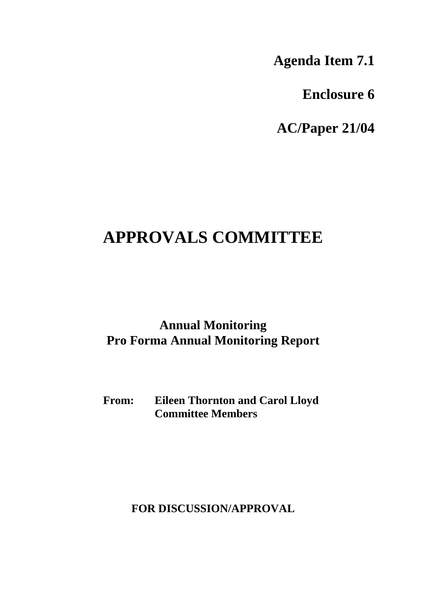**Agenda Item 7.1**

**Enclosure 6**

**AC/Paper 21/04**

## **APPROVALS COMMITTEE**

### **Annual Monitoring Pro Forma Annual Monitoring Report**

**From: Eileen Thornton and Carol Lloyd Committee Members**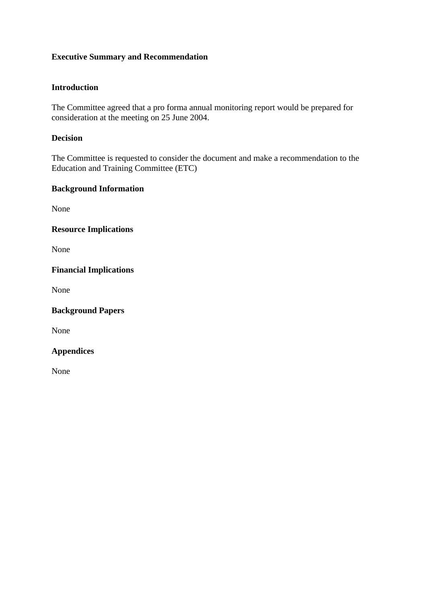### **Introduction**

The Committee agreed that a pro forma annual monitoring report would be prepared for consideration at the meeting on 25 June 2004.

### **Decision**

The Committee is requested to consider the document and make a recommendation to the Education and Training Committee (ETC)

### **Background Information**

None

**Resource Implications**

None

### **Financial Implications**

None

**Background Papers**

None

### **Appendices**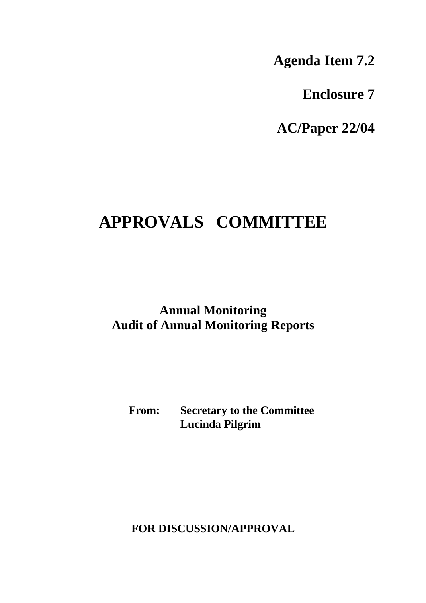**Agenda Item 7.2**

**Enclosure 7**

**AC/Paper 22/04**

## **APPROVALS COMMITTEE**

**Annual Monitoring Audit of Annual Monitoring Reports**

**From: Secretary to the Committee Lucinda Pilgrim**